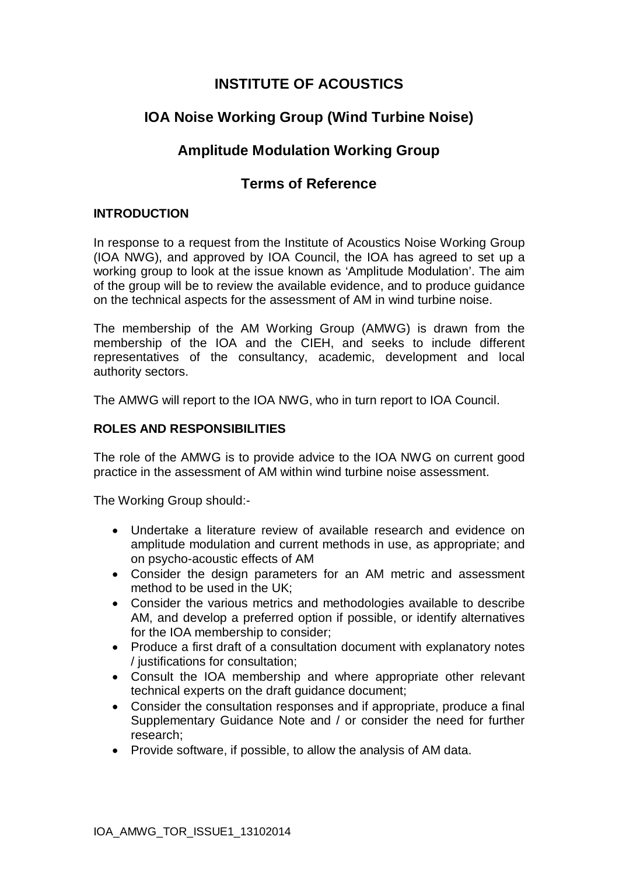## **INSTITUTE OF ACOUSTICS**

# **IOA Noise Working Group (Wind Turbine Noise)**

## **Amplitude Modulation Working Group**

## **Terms of Reference**

### **INTRODUCTION**

In response to a request from the Institute of Acoustics Noise Working Group (IOA NWG), and approved by IOA Council, the IOA has agreed to set up a working group to look at the issue known as 'Amplitude Modulation'. The aim of the group will be to review the available evidence, and to produce guidance on the technical aspects for the assessment of AM in wind turbine noise.

The membership of the AM Working Group (AMWG) is drawn from the membership of the IOA and the CIEH, and seeks to include different representatives of the consultancy, academic, development and local authority sectors.

The AMWG will report to the IOA NWG, who in turn report to IOA Council.

### **ROLES AND RESPONSIBILITIES**

The role of the AMWG is to provide advice to the IOA NWG on current good practice in the assessment of AM within wind turbine noise assessment.

The Working Group should:-

- Undertake a literature review of available research and evidence on amplitude modulation and current methods in use, as appropriate; and on psycho-acoustic effects of AM
- Consider the design parameters for an AM metric and assessment method to be used in the UK;
- Consider the various metrics and methodologies available to describe AM, and develop a preferred option if possible, or identify alternatives for the IOA membership to consider;
- Produce a first draft of a consultation document with explanatory notes / justifications for consultation;
- Consult the IOA membership and where appropriate other relevant technical experts on the draft guidance document;
- Consider the consultation responses and if appropriate, produce a final Supplementary Guidance Note and / or consider the need for further research;
- Provide software, if possible, to allow the analysis of AM data.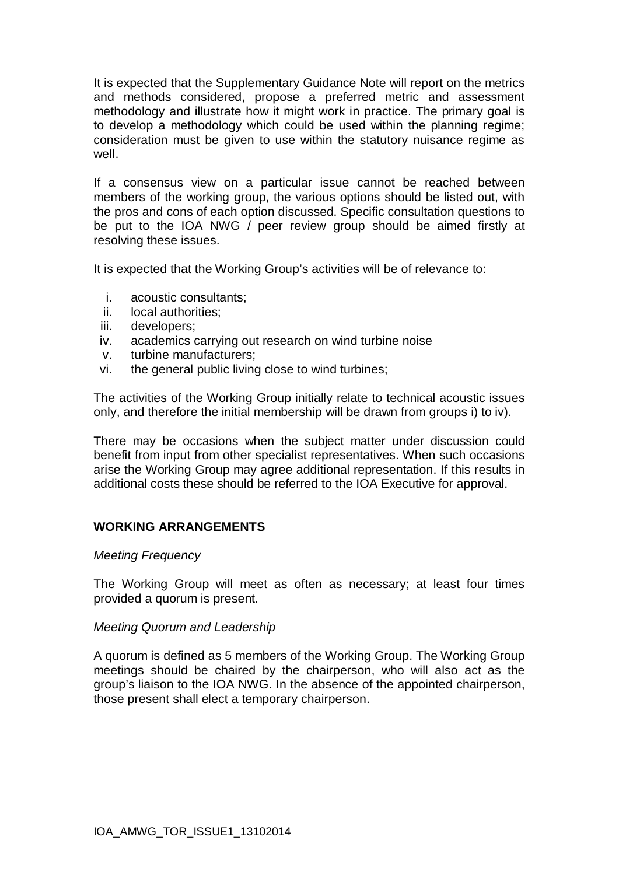It is expected that the Supplementary Guidance Note will report on the metrics and methods considered, propose a preferred metric and assessment methodology and illustrate how it might work in practice. The primary goal is to develop a methodology which could be used within the planning regime; consideration must be given to use within the statutory nuisance regime as well.

If a consensus view on a particular issue cannot be reached between members of the working group, the various options should be listed out, with the pros and cons of each option discussed. Specific consultation questions to be put to the IOA NWG / peer review group should be aimed firstly at resolving these issues.

It is expected that the Working Group's activities will be of relevance to:

- i. acoustic consultants;
- ii. local authorities;
- iii. developers;
- iv. academics carrying out research on wind turbine noise
- v. turbine manufacturers;
- vi. the general public living close to wind turbines;

The activities of the Working Group initially relate to technical acoustic issues only, and therefore the initial membership will be drawn from groups i) to iv).

There may be occasions when the subject matter under discussion could benefit from input from other specialist representatives. When such occasions arise the Working Group may agree additional representation. If this results in additional costs these should be referred to the IOA Executive for approval.

### **WORKING ARRANGEMENTS**

#### *Meeting Frequency*

The Working Group will meet as often as necessary; at least four times provided a quorum is present.

#### *Meeting Quorum and Leadership*

A quorum is defined as 5 members of the Working Group. The Working Group meetings should be chaired by the chairperson, who will also act as the group's liaison to the IOA NWG. In the absence of the appointed chairperson, those present shall elect a temporary chairperson.